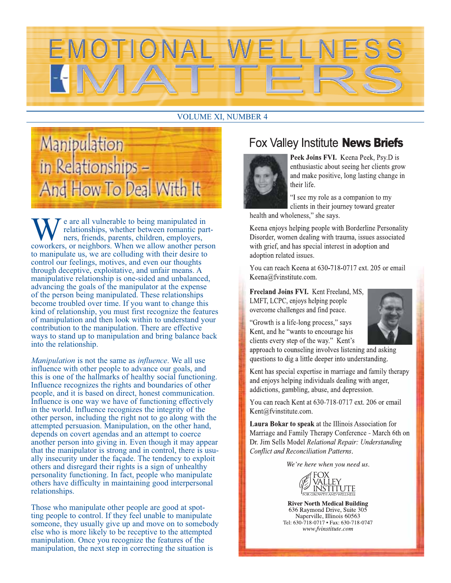

#### **VOLUME XI, NUMBER 4**



e are all vulnerable to being manipulated in relationships, whether between romantic partners, friends, parents, children, employers, coworkers, or neighbors. When we allow another person to manipulate us, we are colluding with their desire to control our feelings, motives, and even our thoughts through deceptive, exploitative, and unfair means. A manipulative relationship is one-sided and unbalanced, advancing the goals of the manipulator at the expense of the person being manipulated. These relationships become troubled over time. If you want to change this kind of relationship, you must first recognize the features of manipulation and then look within to understand your contribution to the manipulation. There are effective ways to stand up to manipulation and bring balance back into the relationship.

Manipulation is not the same as influence. We all use influence with other people to advance our goals, and this is one of the hallmarks of healthy social functioning. Influence recognizes the rights and boundaries of other people, and it is based on direct, honest communication. Influence is one way we have of functioning effectively in the world. Influence recognizes the integrity of the other person, including the right not to go along with the attempted persuasion. Manipulation, on the other hand, depends on covert agendas and an attempt to coerce another person into giving in. Even though it may appear that the manipulator is strong and in control, there is usually insecurity under the facade. The tendency to exploit others and disregard their rights is a sign of unhealthy personality functioning. In fact, people who manipulate others have difficulty in maintaining good interpersonal relationships.

Those who manipulate other people are good at spotting people to control. If they feel unable to manipulate someone, they usually give up and move on to somebody else who is more likely to be receptive to the attempted manipulation. Once you recognize the features of the manipulation, the next step in correcting the situation is

# Fox Valley Institute **News Briefs**



Peek Joins FVI. Keena Peek, Psy.D is enthusiastic about seeing her clients grow and make positive, long lasting change in their life.

"I see my role as a companion to my clients in their journey toward greater health and wholeness," she says.

Keena enjoys helping people with Borderline Personality Disorder, women dealing with trauma, issues associated with grief, and has special interest in adoption and adoption related issues.

You can reach Keena at 630-718-0717 ext. 205 or email Keena@fvinstitute.com.

Freeland Joins FVI. Kent Freeland, MS, LMFT, LCPC, enjoys helping people overcome challenges and find peace.

"Growth is a life-long process," says Kent, and he "wants to encourage his clients every step of the way." Kent's



approach to counseling involves listening and asking questions to dig a little deeper into understanding.

Kent has special expertise in marriage and family therapy and enjoys helping individuals dealing with anger, addictions, gambling, abuse, and depression.

You can reach Kent at 630-718-0717 ext. 206 or email Kent@fvinstitute.com.

Laura Bokar to speak at the Illinois Association for Marriage and Family Therapy Conference - March 6th on Dr. Jim Sells Model Relational Repair: Understanding **Conflict and Reconciliation Patterns.** 

We're here when you need us.



**River North Medical Building** 636 Raymond Drive, Suite 305 Naperville, Illinois 60563 Tel: 630-718-0717 · Fax: 630-718-0747 www.fvinstitute.com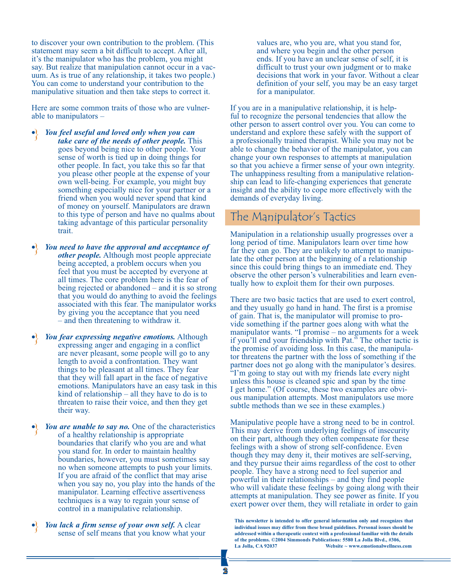to discover your own contribution to the problem. (This statement may seem a bit difficult to accept. After all, it's the manipulator who has the problem, you might say. But realize that manipulation cannot occur in a vacuum. As is true of any relationship, it takes two people.) You can come to understand your contribution to the manipulative situation and then take steps to correct it.

Here are some common traits of those who are vulnerable to manipulators –

- *You feel useful and loved only when you can take care of the needs of other people.* This goes beyond being nice to other people. Your sense of worth is tied up in doing things for other people. In fact, you take this so far that you please other people at the expense of your own well-being. For example, you might buy something especially nice for your partner or a friend when you would never spend that kind of money on yourself. Manipulators are drawn to this type of person and have no qualms about taking advantage of this particular personality trait. }<br>}
- *You need to have the approval and acceptance of other people.* Although most people appreciate being accepted, a problem occurs when you feel that you must be accepted by everyone at all times. The core problem here is the fear of being rejected or abandoned – and it is so strong that you would do anything to avoid the feelings associated with this fear. The manipulator works by giving you the acceptance that you need – and then threatening to withdraw it. }<br>}
- *You fear expressing negative emotions.* Although expressing anger and engaging in a conflict are never pleasant, some people will go to any length to avoid a confrontation. They want things to be pleasant at all times. They fear that they will fall apart in the face of negative emotions. Manipulators have an easy task in this kind of relationship – all they have to do is to threaten to raise their voice, and then they get their way. }<br>}
- *You are unable to say no.* One of the characteristics of a healthy relationship is appropriate boundaries that clarify who you are and what you stand for. In order to maintain healthy boundaries, however, you must sometimes say no when someone attempts to push your limits. If you are afraid of the conflict that may arise when you say no, you play into the hands of the manipulator. Learning effective assertiveness techniques is a way to regain your sense of control in a manipulative relationship. }<br>}
- *You lack a firm sense of your own self.* A clear sense of self means that you know what your }<br>}

values are, who you are, what you stand for, and where you begin and the other person ends. If you have an unclear sense of self, it is difficult to trust your own judgment or to make decisions that work in your favor. Without a clear definition of your self, you may be an easy target for a manipulator.

If you are in a manipulative relationship, it is helpful to recognize the personal tendencies that allow the other person to assert control over you. You can come to understand and explore these safely with the support of a professionally trained therapist. While you may not be able to change the behavior of the manipulator, you can change your own responses to attempts at manipulation so that you achieve a firmer sense of your own integrity. The unhappiness resulting from a manipulative relationship can lead to life-changing experiences that generate insight and the ability to cope more effectively with the demands of everyday living.

### The Manipulator's Tactics

Manipulation in a relationship usually progresses over a long period of time. Manipulators learn over time how far they can go. They are unlikely to attempt to manipulate the other person at the beginning of a relationship since this could bring things to an immediate end. They observe the other person's vulnerabilities and learn eventually how to exploit them for their own purposes.

There are two basic tactics that are used to exert control, and they usually go hand in hand. The first is a promise of gain. That is, the manipulator will promise to provide something if the partner goes along with what the manipulator wants. "I promise – no arguments for a week if you'll end your friendship with Pat." The other tactic is the promise of avoiding loss. In this case, the manipulator threatens the partner with the loss of something if the partner does not go along with the manipulator's desires. "I'm going to stay out with my friends late every night unless this house is cleaned spic and span by the time I get home." (Of course, these two examples are obvious manipulation attempts. Most manipulators use more subtle methods than we see in these examples.)

Manipulative people have a strong need to be in control. This may derive from underlying feelings of insecurity on their part, although they often compensate for these feelings with a show of strong self-confidence. Even though they may deny it, their motives are self-serving, and they pursue their aims regardless of the cost to other people. They have a strong need to feel superior and powerful in their relationships – and they find people who will validate these feelings by going along with their attempts at manipulation. They see power as finite. If you exert power over them, they will retaliate in order to gain

**This newsletter is intended to offer general information only and recognizes that individual issues may differ from these broad guidelines. Personal issues should be addressed within a therapeutic context with a professional familiar with the details of the problems. ©2004 Simmonds Publications: 5580 La Jolla Blvd., #306,**  Website ~ www.emotionalwellness.com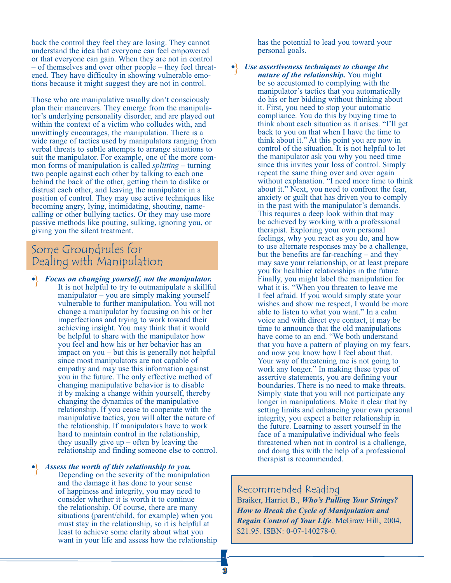back the control they feel they are losing. They cannot understand the idea that everyone can feel empowered or that everyone can gain. When they are not in control – of themselves and over other people – they feel threatened. They have difficulty in showing vulnerable emotions because it might suggest they are not in control.

Those who are manipulative usually don't consciously plan their maneuvers. They emerge from the manipulator's underlying personality disorder, and are played out within the context of a victim who colludes with, and unwittingly encourages, the manipulation. There is a wide range of tactics used by manipulators ranging from verbal threats to subtle attempts to arrange situations to suit the manipulator. For example, one of the more common forms of manipulation is called *splitting* – turning two people against each other by talking to each one behind the back of the other, getting them to dislike or distrust each other, and leaving the manipulator in a position of control. They may use active techniques like becoming angry, lying, intimidating, shouting, namecalling or other bullying tactics. Or they may use more passive methods like pouting, sulking, ignoring you, or giving you the silent treatment.

## Some Groundrules for Dealing with Manipulation

• *Focus on changing yourself, not the manipulator.*  It is not helpful to try to outmanipulate a skillful manipulator – you are simply making yourself vulnerable to further manipulation. You will not change a manipulator by focusing on his or her imperfections and trying to work toward their achieving insight. You may think that it would be helpful to share with the manipulator how you feel and how his or her behavior has an impact on you – but this is generally not helpful since most manipulators are not capable of empathy and may use this information against you in the future. The only effective method of changing manipulative behavior is to disable it by making a change within yourself, thereby changing the dynamics of the manipulative relationship. If you cease to cooperate with the manipulative tactics, you will alter the nature of the relationship. If manipulators have to work hard to maintain control in the relationship, they usually give  $up$  – often by leaving the relationship and finding someone else to control. }<br>}

• *Assess the worth of this relationship to you.* Depending on the severity of the manipulation and the damage it has done to your sense of happiness and integrity, you may need to consider whether it is worth it to continue the relationship. Of course, there are many situations (parent/child, for example) when you must stay in the relationship, so it is helpful at least to achieve some clarity about what you want in your life and assess how the relationship }<br>}

has the potential to lead you toward your personal goals.

}<br>}

• *Use assertiveness techniques to change the nature of the relationship.* You might be so accustomed to complying with the manipulator's tactics that you automatically do his or her bidding without thinking about it. First, you need to stop your automatic compliance. You do this by buying time to think about each situation as it arises. "I'll get back to you on that when I have the time to think about it." At this point you are now in control of the situation. It is not helpful to let the manipulator ask you why you need time since this invites your loss of control. Simply repeat the same thing over and over again without explanation. "I need more time to think about it." Next, you need to confront the fear, anxiety or guilt that has driven you to comply in the past with the manipulator's demands. This requires a deep look within that may be achieved by working with a professional therapist. Exploring your own personal feelings, why you react as you do, and how to use alternate responses may be a challenge, but the benefits are far-reaching – and they may save your relationship, or at least prepare you for healthier relationships in the future. Finally, you might label the manipulation for what it is. "When you threaten to leave me I feel afraid. If you would simply state your wishes and show me respect, I would be more able to listen to what you want." In a calm voice and with direct eye contact, it may be time to announce that the old manipulations have come to an end. "We both understand that you have a pattern of playing on my fears, and now you know how I feel about that. Your way of threatening me is not going to work any longer." In making these types of assertive statements, you are defining your boundaries. There is no need to make threats. Simply state that you will not participate any longer in manipulations. Make it clear that by setting limits and enhancing your own personal integrity, you expect a better relationship in the future. Learning to assert yourself in the face of a manipulative individual who feels threatened when not in control is a challenge, and doing this with the help of a professional therapist is recommended.

#### Recommended Reading

Braiker, Harriet B., *Who's Pulling Your Strings? How to Break the Cycle of Manipulation and Regain Control of Your Life*. McGraw Hill, 2004, \$21.95. ISBN: 0-07-140278-0.